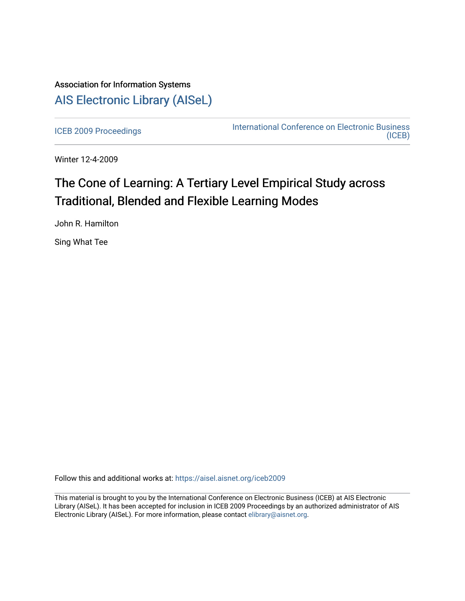## Association for Information Systems [AIS Electronic Library \(AISeL\)](https://aisel.aisnet.org/)

[ICEB 2009 Proceedings](https://aisel.aisnet.org/iceb2009) **International Conference on Electronic Business** [\(ICEB\)](https://aisel.aisnet.org/iceb) 

Winter 12-4-2009

# The Cone of Learning: A Tertiary Level Empirical Study across Traditional, Blended and Flexible Learning Modes

John R. Hamilton

Sing What Tee

Follow this and additional works at: [https://aisel.aisnet.org/iceb2009](https://aisel.aisnet.org/iceb2009?utm_source=aisel.aisnet.org%2Ficeb2009%2F151&utm_medium=PDF&utm_campaign=PDFCoverPages)

This material is brought to you by the International Conference on Electronic Business (ICEB) at AIS Electronic Library (AISeL). It has been accepted for inclusion in ICEB 2009 Proceedings by an authorized administrator of AIS Electronic Library (AISeL). For more information, please contact [elibrary@aisnet.org.](mailto:elibrary@aisnet.org%3E)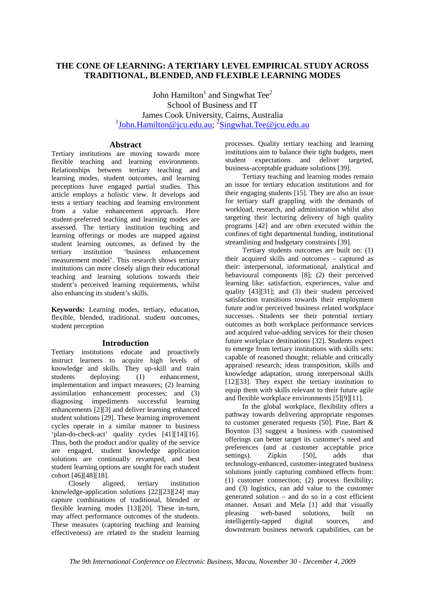## **THE CONE OF LEARNING: A TERTIARY LEVEL EMPIRICAL STUDY ACROSS TRADITIONAL, BLENDED, AND FLEXIBLE LEARNING MODES**

John Hamilton<sup>1</sup> and Singwhat Tee<sup>2</sup> School of Business and IT James Cook University, Cairns, Australia <sup>1</sup>John.Hamilton@jcu.edu.au; <sup>2</sup>Singwhat.Tee@jcu.edu.au

## **Abstract**

Tertiary institutions are moving towards more flexible teaching and learning environments. Relationships between tertiary teaching and learning modes, student outcomes, and learning perceptions have engaged partial studies. This article employs a holistic view. It develops and tests a tertiary teaching and learning environment from a value enhancement approach. Here student-preferred teaching and learning modes are assessed. The tertiary institution teaching and learning offerings or modes are mapped against student learning outcomes, as defined by the tertiary institution 'business enhancement measurement model'. This research shows tertiary institutions can more closely align their educational teaching and learning solutions towards their student's perceived learning requirements, whilst also enhancing its student's skills.

**Keywords:** Learning modes, tertiary, education, flexible, blended, traditional. student outcomes, student perception

### **Introduction**

Tertiary institutions educate and proactively instruct learners to acquire high levels of knowledge and skills. They up-skill and train students deploying: (1) enhancement, implementation and impact measures; (2) learning assimilation enhancement processes; and (3) diagnosing impediments successful learning enhancements [2][3] and deliver learning enhanced student solutions [29]. These learning improvement cycles operate in a similar manner to business 'plan-do-check-act' quality cycles [41][14][16]. Thus, both the product and/or quality of the service are engaged, student knowledge application solutions are continually revamped, and best student learning options are sought for each student cohort [46][48][18].

Closely aligned, tertiary institution knowledge-application solutions [22][23][24] may capture combinations of traditional, blended or flexible learning modes [13][20]. These in-turn, may affect performance outcomes of the students. These measures (capturing teaching and learning effectiveness) are related to the student learning

processes. Quality tertiary teaching and learning institutions aim to balance their tight budgets, meet student expectations and deliver targeted, business-acceptable graduate solutions [39].

Tertiary teaching and learning modes remain an issue for tertiary education institutions and for their engaging students [15]. They are also an issue for tertiary staff grappling with the demands of workload, research, and administration whilst also targeting their lecturing delivery of high quality programs [42] and are often executed within the confines of tight departmental funding, institutional streamlining and budgetary constraints [39].

Tertiary students outcomes are built on: (1) their acquired skills and outcomes – captured as their: interpersonal, informational, analytical and behavioural components [8]; (2) their perceived learning like: satisfaction, experiences, value and quality [43][31]; and (3) their student perceived satisfaction transitions towards their employment future and/or perceived business related workplace successes. Students see their potential tertiary outcomes as both workplace performance services and acquired value-adding services for their chosen future workplace destinations [32]. Students expect to emerge from tertiary institutions with skills sets: capable of reasoned thought; reliable and critically appraised research; ideas transposition, skills and knowledge adaptation, strong interpersonal skills [12][33]. They expect the tertiary institution to equip them with skills relevant to their future agile and flexible workplace environments [5][9][11].

In the global workplace, flexibility offers a pathway towards delivering appropriate responses to customer generated requests [50]. Pine, Bart & Boynton [3] suggest a business with customised offerings can better target its customer's need and preferences (and at customer acceptable price settings). Zipkin [50], adds that technology-enhanced, customer-integrated business solutions jointly capturing combined effects from: (1) customer connection; (2) process flexibility; and (3) logistics, can add value to the customer generated solution – and do so in a cost efficient manner. Ansari and Mela [1] add that visually pleasing web-based solutions, built on intelligently-tapped digital sources, and downstream business network capabilities, can be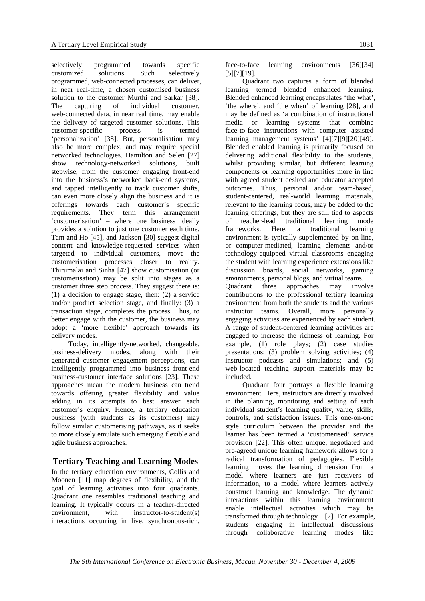selectively programmed towards specific customized solutions. Such selectively programmed, web-connected processes, can deliver, in near real-time, a chosen customised business solution to the customer Murthi and Sarkar [38]. The capturing of individual customer, web-connected data, in near real time, may enable the delivery of targeted customer solutions. This customer-specific process is termed 'personalization' [38]. But, personalisation may also be more complex, and may require special networked technologies. Hamilton and Selen [27] show technology-networked solutions, built stepwise, from the customer engaging front-end into the business's networked back-end systems, and tapped intelligently to track customer shifts, can even more closely align the business and it is offerings towards each customer's specific requirements. They term this arrangement 'customerisation' – where one business ideally provides a solution to just one customer each time. Tam and Ho [45], and Jackson [30] suggest digital content and knowledge-requested services when targeted to individual customers, move the customerisation processes closer to reality. Thirumalai and Sinha [47] show customisation (or customerisation) may be split into stages as a customer three step process. They suggest there is: (1) a decision to engage stage, then: (2) a service and/or product selection stage, and finally: (3) a transaction stage, completes the process. Thus, to better engage with the customer, the business may adopt a 'more flexible' approach towards its delivery modes.

Today, intelligently-networked, changeable, business-delivery modes, along with their generated customer engagement perceptions, can intelligently programmed into business front-end business-customer interface solutions [23]. These approaches mean the modern business can trend towards offering greater flexibility and value adding in its attempts to best answer each customer's enquiry. Hence, a tertiary education business (with students as its customers) may follow similar customerising pathways, as it seeks to more closely emulate such emerging flexible and agile business approaches.

## **Tertiary Teaching and Learning Modes**

In the tertiary education environments, Collis and Moonen [11] map degrees of flexibility, and the goal of learning activities into four quadrants. Quadrant one resembles traditional teaching and learning. It typically occurs in a teacher-directed environment, with instructor-to-student(s) interactions occurring in live, synchronous-rich,

face-to-face learning environments [36][34] [5][7][19].

Quadrant two captures a form of blended learning termed blended enhanced learning. Blended enhanced learning encapsulates 'the what', 'the where', and 'the when' of learning [28], and may be defined as 'a combination of instructional media or learning systems that combine face-to-face instructions with computer assisted learning management systems' [4][7][9][20][49]. Blended enabled learning is primarily focused on delivering additional flexibility to the students, whilst providing similar, but different learning components or learning opportunities more in line with agreed student desired and educator accepted outcomes. Thus, personal and/or team-based, student-centered, real-world learning materials, relevant to the learning focus, may be added to the learning offerings, but they are still tied to aspects of teacher-lead traditional learning mode frameworks. Here, a traditional learning environment is typically supplemented by on-line, or computer-mediated, learning elements and/or technology-equipped virtual classrooms engaging the student with learning experience extensions like discussion boards, social networks, gaming environments, personal blogs, and virtual teams. Quadrant three approaches may involve contributions to the professional tertiary learning

environment from both the students and the various instructor teams. Overall, more personally engaging activities are experienced by each student. A range of student-centered learning activities are engaged to increase the richness of learning. For example, (1) role plays; (2) case studies presentations; (3) problem solving activities; (4) instructor podcasts and simulations; and (5) web-located teaching support materials may be included.

Quadrant four portrays a flexible learning environment. Here, instructors are directly involved in the planning, monitoring and setting of each individual student's learning quality, value, skills, controls, and satisfaction issues. This one-on-one style curriculum between the provider and the learner has been termed a 'customerised' service provision [22]. This often unique, negotiated and pre-agreed unique learning framework allows for a radical transformation of pedagogies. Flexible learning moves the learning dimension from a model where learners are just receivers of information, to a model where learners actively construct learning and knowledge. The dynamic interactions within this learning environment enable intellectual activities which may be transformed through technology [7]. For example, students engaging in intellectual discussions through collaborative learning modes like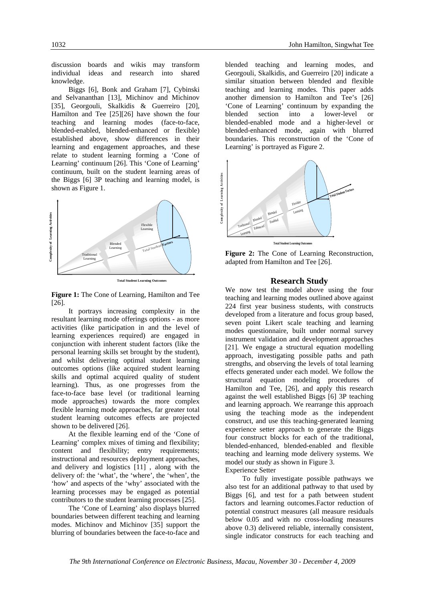discussion boards and wikis may transform individual ideas and research into shared knowledge.

Biggs [6], Bonk and Graham [7], Cybinski and Selvananthan [13], Michinov and Michinov [35], Georgouli, Skalkidis & Guerreiro [20], Hamilton and Tee [25][26] have shown the four teaching and learning modes (face-to-face, blended-enabled, blended-enhanced or flexible) established above, show differences in their learning and engagement approaches, and these relate to student learning forming a 'Cone of Learning' continuum [26]. This 'Cone of Learning' continuum, built on the student learning areas of the Biggs [6] 3P teaching and learning model, is shown as Figure 1.



**Total Student Learning Outcomes** 

**Figure 1:** The Cone of Learning, Hamilton and Tee [26].

It portrays increasing complexity in the resultant learning mode offerings options - as more activities (like participation in and the level of learning experiences required) are engaged in conjunction with inherent student factors (like the personal learning skills set brought by the student), and whilst delivering optimal student learning outcomes options (like acquired student learning skills and optimal acquired quality of student learning). Thus, as one progresses from the face-to-face base level (or traditional learning mode approaches) towards the more complex flexible learning mode approaches, far greater total student learning outcomes effects are projected shown to be delivered [26].

At the flexible learning end of the 'Cone of Learning' complex mixes of timing and flexibility; content and flexibility; entry requirements; instructional and resources deployment approaches, and delivery and logistics [11] , along with the delivery of: the 'what', the 'where', the 'when', the 'how' and aspects of the 'why' associated with the learning processes may be engaged as potential contributors to the student learning processes [25].

The 'Cone of Learning' also displays blurred boundaries between different teaching and learning modes. Michinov and Michinov [35] support the blurring of boundaries between the face-to-face and

blended teaching and learning modes, and Georgouli, Skalkidis, and Guerreiro [20] indicate a similar situation between blended and flexible teaching and learning modes. This paper adds another dimension to Hamilton and Tee's [26] 'Cone of Learning' continuum by expanding the blended section into a lower-level or blended-enabled mode and a higher-level or blended-enhanced mode, again with blurred boundaries. This reconstruction of the 'Cone of Learning' is portrayed as Figure 2.



**Figure 2:** The Cone of Learning Reconstruction, adapted from Hamilton and Tee [26].

#### **Research Study**

We now test the model above using the four teaching and learning modes outlined above against 224 first year business students, with constructs developed from a literature and focus group based, seven point Likert scale teaching and learning modes questionnaire, built under normal survey instrument validation and development approaches [21]. We engage a structural equation modelling approach, investigating possible paths and path strengths, and observing the levels of total learning effects generated under each model. We follow the structural equation modeling procedures of Hamilton and Tee, [26], and apply this research against the well established Biggs [6] 3P teaching and learning approach. We rearrange this approach using the teaching mode as the independent construct, and use this teaching-generated learning experience setter approach to generate the Biggs four construct blocks for each of the traditional, blended-enhanced, blended-enabled and flexible teaching and learning mode delivery systems. We model our study as shown in Figure 3. Experience Setter

To fully investigate possible pathways we also test for an additional pathway to that used by Biggs [6], and test for a path between student factors and learning outcomes.Factor reduction of potential construct measures (all measure residuals below 0.05 and with no cross-loading measures above 0.3) delivered reliable, internally consistent, single indicator constructs for each teaching and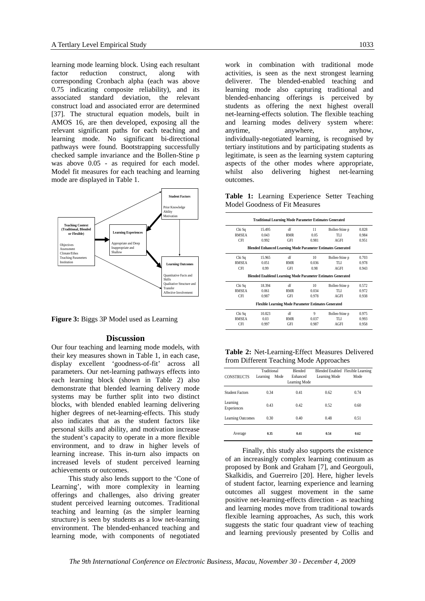learning mode learning block. Using each resultant factor reduction construct, along with corresponding Cronbach alpha (each was above 0.75 indicating composite reliability), and its associated standard deviation, the relevant construct load and associated error are determined [37]. The structural equation models, built in AMOS 16, are then developed, exposing all the relevant significant paths for each teaching and learning mode. No significant bi-directional pathways were found. Bootstrapping successfully checked sample invariance and the Bollen-Stine p was above 0.05 - as required for each model. Model fit measures for each teaching and learning mode are displayed in Table 1.



**Figure 3:** Biggs 3P Model used as Learning

#### **Discussion**

Our four teaching and learning mode models, with their key measures shown in Table 1, in each case, display excellent 'goodness-of-fit' across all parameters. Our net-learning pathways effects into each learning block (shown in Table 2) also demonstrate that blended learning delivery mode systems may be further split into two distinct blocks, with blended enabled learning delivering higher degrees of net-learning-effects. This study also indicates that as the student factors like personal skills and ability, and motivation increase the student's capacity to operate in a more flexible environment, and to draw in higher levels of learning increase. This in-turn also impacts on increased levels of student perceived learning achievements or outcomes.

 This study also lends support to the 'Cone of Learning', with more complexity in learning offerings and challenges, also driving greater student perceived learning outcomes. Traditional teaching and learning (as the simpler learning structure) is seen by students as a low net-learning environment. The blended-enhanced teaching and learning mode, with components of negotiated

work in combination with traditional mode activities, is seen as the next strongest learning deliverer. The blended-enabled teaching and learning mode also capturing traditional and blended-enhancing offerings is perceived by students as offering the next highest overall net-learning-effects solution. The flexible teaching and learning modes delivery system where: anytime, anywhere, anyhow, individually-negotiated learning, is recognised by tertiary institutions and by participating students as legitimate, is seen as the learning system capturing aspects of the other modes where appropriate, whilst also delivering highest net-learning outcomes.

**Table 1:** Learning Experience Setter Teaching Model Goodness of Fit Measures

|                                                                     | <b>Traditional Learning Mode Parameter Estimates Generated</b> |            |                 |                |       |  |  |  |  |  |
|---------------------------------------------------------------------|----------------------------------------------------------------|------------|-----------------|----------------|-------|--|--|--|--|--|
| Chi Sq                                                              | 15.495                                                         | df         | 11              | Bollen-Stine p | 0.828 |  |  |  |  |  |
| <b>RMSEA</b>                                                        | 0.043                                                          | <b>RMR</b> | 0.05            | TLI            | 0.984 |  |  |  |  |  |
| CFI                                                                 | 0.992                                                          | GFI        | 0.981           | AGFI           | 0.951 |  |  |  |  |  |
| <b>Blended Enhanced Learning Mode Parameter Estimates Generated</b> |                                                                |            |                 |                |       |  |  |  |  |  |
| Chi Sq                                                              | 15.965                                                         | df         | 10 <sup>1</sup> | Bollen-Stine p | 0.703 |  |  |  |  |  |
| <b>RMSEA</b>                                                        | 0.051                                                          | RMR        | 0.036           | TLI            | 0.978 |  |  |  |  |  |
| CFI                                                                 | 0.99                                                           | GFI        | 0.98            | AGFI           | 0.943 |  |  |  |  |  |
| <b>Blended Enablend Learning Mode Parameter Estimates Generated</b> |                                                                |            |                 |                |       |  |  |  |  |  |
| Chi Sq                                                              | 18.394                                                         | df         | 10 <sup>1</sup> | Bollen-Stine p | 0.572 |  |  |  |  |  |
| <b>RMSEA</b>                                                        | 0.061                                                          | <b>RMR</b> | 0.034           | TLI            | 0.972 |  |  |  |  |  |
| CFI                                                                 | 0.987                                                          | GFI        | 0.978           | AGFI           | 0.938 |  |  |  |  |  |
| <b>Flexible Learning Mode Parameter Estimates Generated</b>         |                                                                |            |                 |                |       |  |  |  |  |  |
| Chi Sq                                                              | 10.823                                                         | df         | 9               | Bollen-Stine p | 0.975 |  |  |  |  |  |
| <b>RMSEA</b>                                                        | 0.03                                                           | <b>RMR</b> | 0.037           | TLI            | 0.993 |  |  |  |  |  |
| <b>CFI</b>                                                          | 0.997                                                          | <b>GFI</b> | 0.987           | AGFI           | 0.958 |  |  |  |  |  |

**Table 2:** Net-Learning-Effect Measures Delivered from Different Teaching Mode Approaches

| <b>CONSTRUCTS</b>       | Traditional<br>Learning | Mode | <b>Blended</b><br>Enhanced<br>Learning Mode | Learning Mode | Blended Enabled Flexible Learning<br>Mode |
|-------------------------|-------------------------|------|---------------------------------------------|---------------|-------------------------------------------|
| <b>Student Factors</b>  | 0.34                    |      | 0.41                                        | 0.62          | 0.74                                      |
| Learning<br>Experiences | 0.43                    |      | 0.42                                        | 0.52          | 0.60                                      |
| Learning Outcomes       | 0.30                    |      | 0.40                                        | 0.48          | 0.51                                      |
| Average                 | 0.35                    |      | 0.41                                        | 0.54          | 0.62                                      |

Finally, this study also supports the existence of an increasingly complex learning continuum as proposed by Bonk and Graham [7], and Georgouli, Skalkidis, and Guerreiro [20]. Here, higher levels of student factor, learning experience and learning outcomes all suggest movement in the same positive net-learning-effects direction - as teaching and learning modes move from traditional towards flexible learning approaches, As such, this work suggests the static four quadrant view of teaching and learning previously presented by Collis and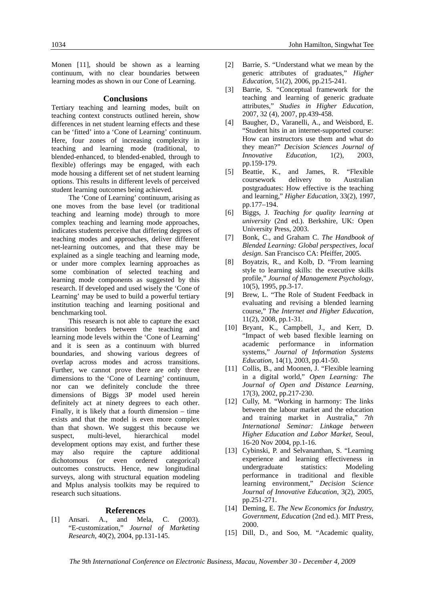Monen [11], should be shown as a learning continuum, with no clear boundaries between learning modes as shown in our Cone of Learning.

#### **Conclusions**

Tertiary teaching and learning modes, built on teaching context constructs outlined herein, show differences in net student learning effects and these can be 'fitted' into a 'Cone of Learning' continuum. Here, four zones of increasing complexity in teaching and learning mode (traditional, to blended-enhanced, to blended-enabled, through to flexible) offerings may be engaged, with each mode housing a different set of net student learning options. This results in different levels of perceived student learning outcomes being achieved.

The 'Cone of Learning' continuum, arising as one moves from the base level (or traditional teaching and learning mode) through to more complex teaching and learning mode approaches, indicates students perceive that differing degrees of teaching modes and approaches, deliver different net-learning outcomes, and that these may be explained as a single teaching and learning mode, or under more complex learning approaches as some combination of selected teaching and learning mode components as suggested by this research. If developed and used wisely the 'Cone of Learning' may be used to build a powerful tertiary institution teaching and learning positional and benchmarking tool.

This research is not able to capture the exact transition borders between the teaching and learning mode levels within the 'Cone of Learning' and it is seen as a continuum with blurred boundaries, and showing various degrees of overlap across modes and across transitions. Further, we cannot prove there are only three dimensions to the 'Cone of Learning' continuum, nor can we definitely conclude the three dimensions of Biggs 3P model used herein definitely act at ninety degrees to each other. Finally, it is likely that a fourth dimension – time exists and that the model is even more complex than that shown. We suggest this because we suspect, multi-level, hierarchical model development options may exist, and further these may also require the capture additional dichotomous (or even ordered categorical) outcomes constructs. Hence, new longitudinal surveys, along with structural equation modeling and Mplus analysis toolkits may be required to research such situations.

#### **References**

[1] Ansari. A., and Mela, C. (2003). "E-customization," *Journal of Marketing Research*, 40(2), 2004, pp.131-145.

- [2] Barrie, S. "Understand what we mean by the generic attributes of graduates," *Higher Education*, 51(2), 2006, pp.215-241.
- [3] Barrie, S. "Conceptual framework for the teaching and learning of generic graduate attributes," *Studies in Higher Education*, 2007, 32 (4), 2007, pp.439-458.
- [4] Baugher, D., Varanelli, A., and Weisbord, E. "Student hits in an internet-supported course: How can instructors use them and what do they mean?" *Decision Sciences Journal of Innovative Education*, 1(2), 2003, pp.159-179.
- [5] Beattie, K., and James, R. "Flexible coursework delivery to Australian postgraduates: How effective is the teaching and learning," *Higher Education*, 33(2), 1997, pp.177–194.
- [6] Biggs, J. *Teaching for quality learning at university* (2nd ed.). Berkshire, UK: Open University Press, 2003.
- [7] Bonk, C., and Graham C. *The Handbook of Blended Learning: Global perspectives, local design*. San Francisco CA: Pfeiffer, 2005.
- [8] Boyatzis, R., and Kolb, D. "From learning style to learning skills: the executive skills profile," *Journal of Management Psychology*, 10(5), 1995, pp.3-17.
- [9] Brew, L. "The Role of Student Feedback in evaluating and revising a blended learning course," *The Internet and Higher Education*, 11(2), 2008, pp.1-31.
- [10] Bryant, K., Campbell, J., and Kerr, D. "Impact of web based flexible learning on academic performance in information systems," *Journal of Information Systems Education*, 14(1), 2003, pp.41-50.
- [11] Collis, B., and Moonen, J. "Flexible learning in a digital world," *Open Learning: The Journal of Open and Distance Learning*, 17(3), 2002, pp.217-230.
- [12] Cully, M. "Working in harmony: The links between the labour market and the education and training market in Australia," *7th International Seminar: Linkage between Higher Education and Labor Market*, Seoul, 16-20 Nov 2004, pp.1-16.
- [13] Cybinski, P. and Selvananthan, S. "Learning experience and learning effectiveness in undergraduate statistics: Modeling performance in traditional and flexible learning environment," *Decision Science Journal of Innovative Education*, 3(2), 2005, pp.251-271.
- [14] Deming, E. *The New Economics for Industry, Government, Education* (2nd ed.). MIT Press, 2000.
- [15] Dill, D., and Soo, M. "Academic quality,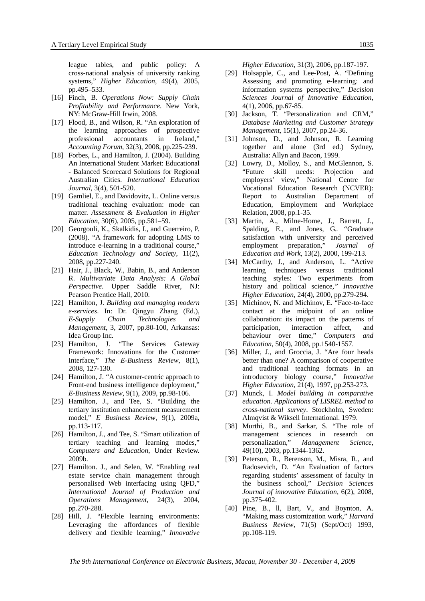league tables, and public policy: A cross-national analysis of university ranking systems," *Higher Education*, 49(4), 2005, pp.495–533.

- [16] Finch, B. *Operations Now: Supply Chain Profitability and Performance*. New York, NY: McGraw-Hill Irwin, 2008.
- [17] Flood, B., and Wilson, R. "An exploration of the learning approaches of prospective professional accountants in Ireland," *Accounting Forum*, 32(3), 2008, pp.225-239.
- [18] Forbes, L., and Hamilton, J. (2004). Building An International Student Market: Educational - Balanced Scorecard Solutions for Regional Australian Cities. *International Education Journal*, 3(4), 501-520.
- [19] Gamliel, E., and Davidovitz, L. Online versus traditional teaching evaluation: mode can matter. *Assessment & Evaluation in Higher Education*, 30(6), 2005, pp.581–59.
- [20] Georgouli, K., Skalkidis, I., and Guerreiro, P. (2008). "A framework for adopting LMS to introduce e-learning in a traditional course," *Education Technology and Society*, 11(2), 2008, pp.227-240.
- [21] Hair, J., Black, W., Babin, B., and Anderson R. *Multivariate Data Analysis: A Global Perspective*. Upper Saddle River, NJ: Pearson Prentice Hall, 2010.
- [22] Hamilton, J. *Building and managing modern e-services*. In: Dr. Qingyu Zhang (Ed.), *E-Supply Chain Technologies and Management*, 3, 2007, pp.80-100, Arkansas: Idea Group Inc.
- [23] Hamilton, J. "The Services Gateway Framework: Innovations for the Customer Interface," *The E-Business Review*, 8(1), 2008, 127-130.
- [24] Hamilton, J. "A customer-centric approach to Front-end business intelligence deployment," *E-Business Review*, 9(1), 2009, pp.98-106.
- [25] Hamilton, J., and Tee, S. "Building the tertiary institution enhancement measurement model," *E Business Review*, 9(1), 2009a, pp.113-117.
- [26] Hamilton, J., and Tee, S. "Smart utilization of tertiary teaching and learning modes," *Computers and Education*, Under Review. 2009b.
- [27] Hamilton. J., and Selen, W. "Enabling real estate service chain management through personalised Web interfacing using QFD," *International Journal of Production and Operations Management*, 24(3), 2004, pp.270-288.
- [28] Hill, J. "Flexible learning environments: Leveraging the affordances of flexible delivery and flexible learning," *Innovative*

*Higher Education*, 31(3), 2006, pp.187-197.

- [29] Holsapple, C., and Lee-Post, A. "Defining Assessing and promoting e-learning: and information systems perspective," *Decision Sciences Journal of Innovative Education*, 4(1), 2006, pp.67-85.
- [30] Jackson, T. "Personalization and CRM," *Database Marketing and Customer Strategy Management*, 15(1), 2007, pp.24-36.
- [31] Johnson, D., and Johnson, R. Learning together and alone (3rd ed.) Sydney, Australia: Allyn and Bacon, 1999.
- [32] Lowry, D., Molloy, S., and McGlennon, S. "Future skill needs: Projection and employers' view," National Centre for Vocational Education Research (NCVER): Report to Australian Department of Education, Employment and Workplace Relation, 2008, pp.1-35.
- [33] Martin, A., Milne-Home, J., Barrett, J., Spalding, E., and Jones, G.. "Graduate satisfaction with university and perceived employment preparation," *Journal of Education and Work*, 13(2), 2000, 199-213.
- [34] McCarthy, J., and Anderson, L. "Active learning techniques versus traditional teaching styles: Two experiments from history and political science*," Innovative Higher Education*, 24(4), 2000, pp.279-294.
- [35] Michinov, N. and Michinov, E. "Face-to-face contact at the midpoint of an online collaboration: its impact on the patterns of participation, interaction affect, and behaviour over time," *Computers and Education*, 50(4), 2008, pp.1540-1557.
- [36] Miller, J., and Groccia, J. "Are four heads better than one? A comparison of cooperative and traditional teaching formats in an introductory biology course," *Innovative Higher Education*, 21(4), 1997, pp.253-273.
- [37] Munck, I. *Model building in comparative education. Applications of LISREL method to cross-national survey*. Stockholm, Sweden: Almqvist & Wiksell International. 1979.
- [38] Murthi, B., and Sarkar, S. "The role of management sciences in research on personalization," *Management Science*, 49(10), 2003, pp.1344-1362.
- [39] Peterson, R., Berenson, M., Misra, R., and Radosevich, D. "An Evaluation of factors regarding students' assessment of faculty in the business school," *Decision Sciences Journal of innovative Education*, 6(2), 2008, pp.375-402.
- [40] Pine, B., ll, Bart, V., and Boynton, A. "Making mass customization work," *Harvard Business Review*, 71(5) (Sept/Oct) 1993, pp.108-119.